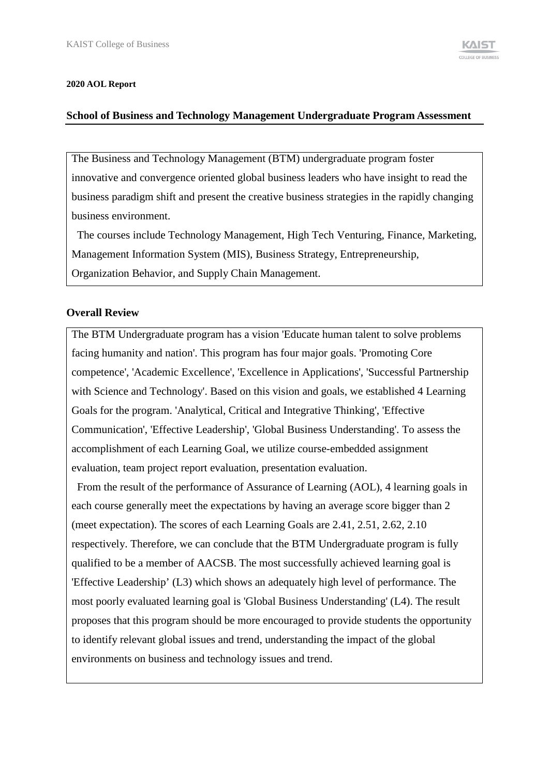#### **2020 AOL Report**

#### **School of Business and Technology Management Undergraduate Program Assessment**

The Business and Technology Management (BTM) undergraduate program foster innovative and convergence oriented global business leaders who have insight to read the business paradigm shift and present the creative business strategies in the rapidly changing business environment.

The courses include Technology Management, High Tech Venturing, Finance, Marketing, Management Information System (MIS), Business Strategy, Entrepreneurship, Organization Behavior, and Supply Chain Management.

## **Overall Review**

The BTM Undergraduate program has a vision 'Educate human talent to solve problems facing humanity and nation'. This program has four major goals. 'Promoting Core competence', 'Academic Excellence', 'Excellence in Applications', 'Successful Partnership with Science and Technology'. Based on this vision and goals, we established 4 Learning Goals for the program. 'Analytical, Critical and Integrative Thinking', 'Effective Communication', 'Effective Leadership', 'Global Business Understanding'. To assess the accomplishment of each Learning Goal, we utilize course-embedded assignment evaluation, team project report evaluation, presentation evaluation.

From the result of the performance of Assurance of Learning (AOL), 4 learning goals in each course generally meet the expectations by having an average score bigger than 2 (meet expectation). The scores of each Learning Goals are 2.41, 2.51, 2.62, 2.10 respectively. Therefore, we can conclude that the BTM Undergraduate program is fully qualified to be a member of AACSB. The most successfully achieved learning goal is 'Effective Leadership' (L3) which shows an adequately high level of performance. The most poorly evaluated learning goal is 'Global Business Understanding' (L4). The result proposes that this program should be more encouraged to provide students the opportunity to identify relevant global issues and trend, understanding the impact of the global environments on business and technology issues and trend.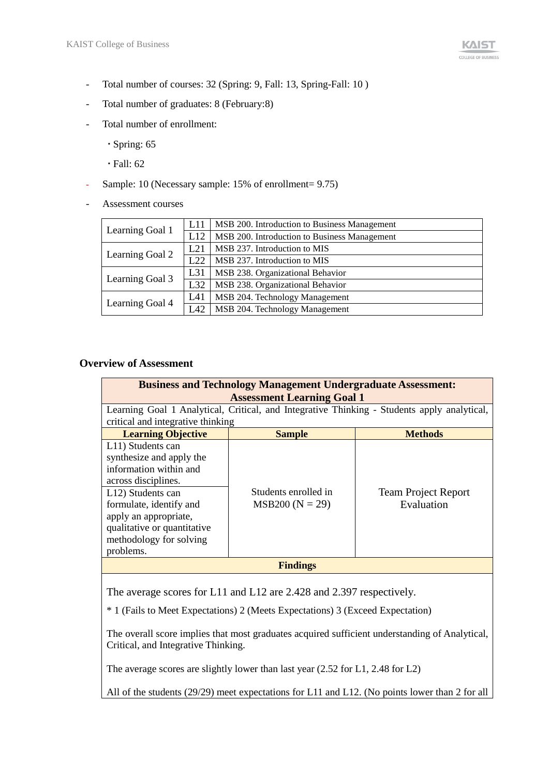- Total number of courses: 32 (Spring: 9, Fall: 13, Spring-Fall: 10 )
- Total number of graduates: 8 (February:8)
- Total number of enrollment:
	- Spring: 65
	- Fall: 62
- Sample: 10 (Necessary sample: 15% of enrollment= 9.75)
- Assessment courses

| L11 | MSB 200. Introduction to Business Management |
|-----|----------------------------------------------|
| L12 | MSB 200. Introduction to Business Management |
| L21 | MSB 237. Introduction to MIS                 |
| L22 | MSB 237. Introduction to MIS                 |
| L31 | MSB 238. Organizational Behavior             |
| L32 | MSB 238. Organizational Behavior             |
| L41 | MSB 204. Technology Management               |
| L42 | MSB 204. Technology Management               |
|     |                                              |

# **Overview of Assessment**

| <b>Business and Technology Management Undergraduate Assessment:</b><br><b>Assessment Learning Goal 1</b>                                                                                                                                       |                                           |                                          |  |
|------------------------------------------------------------------------------------------------------------------------------------------------------------------------------------------------------------------------------------------------|-------------------------------------------|------------------------------------------|--|
| Learning Goal 1 Analytical, Critical, and Integrative Thinking - Students apply analytical,                                                                                                                                                    |                                           |                                          |  |
| critical and integrative thinking                                                                                                                                                                                                              |                                           |                                          |  |
| <b>Learning Objective</b>                                                                                                                                                                                                                      | <b>Sample</b>                             | <b>Methods</b>                           |  |
| L11) Students can<br>synthesize and apply the<br>information within and<br>across disciplines.<br>L12) Students can<br>formulate, identify and<br>apply an appropriate,<br>qualitative or quantitative<br>methodology for solving<br>problems. | Students enrolled in<br>$MSB200 (N = 29)$ | <b>Team Project Report</b><br>Evaluation |  |
| <b>Findings</b>                                                                                                                                                                                                                                |                                           |                                          |  |
|                                                                                                                                                                                                                                                |                                           |                                          |  |

The average scores for L11 and L12 are 2.428 and 2.397 respectively.

\* 1 (Fails to Meet Expectations) 2 (Meets Expectations) 3 (Exceed Expectation)

The overall score implies that most graduates acquired sufficient understanding of Analytical, Critical, and Integrative Thinking.

The average scores are slightly lower than last year (2.52 for L1, 2.48 for L2)

All of the students (29/29) meet expectations for L11 and L12. (No points lower than 2 for all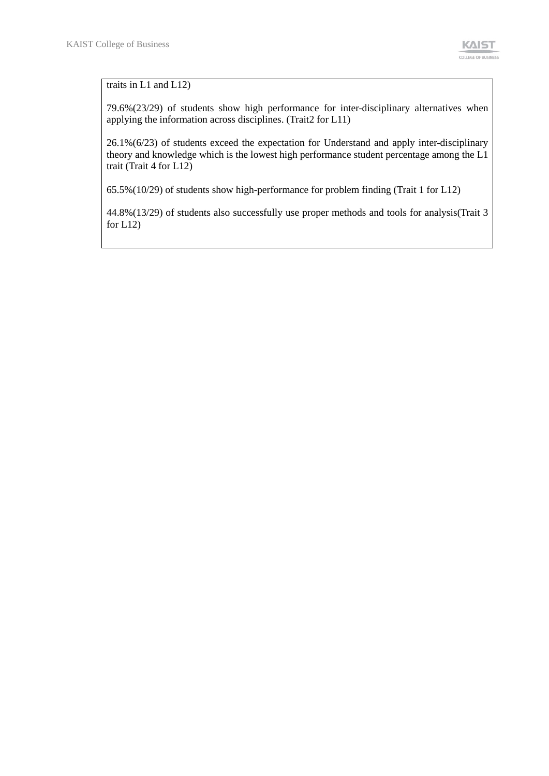### traits in L1 and L12)

79.6%(23/29) of students show high performance for inter-disciplinary alternatives when applying the information across disciplines. (Trait2 for L11)

26.1%(6/23) of students exceed the expectation for Understand and apply inter-disciplinary theory and knowledge which is the lowest high performance student percentage among the L1 trait (Trait 4 for L12)

65.5%(10/29) of students show high-performance for problem finding (Trait 1 for L12)

44.8%(13/29) of students also successfully use proper methods and tools for analysis(Trait 3 for L12)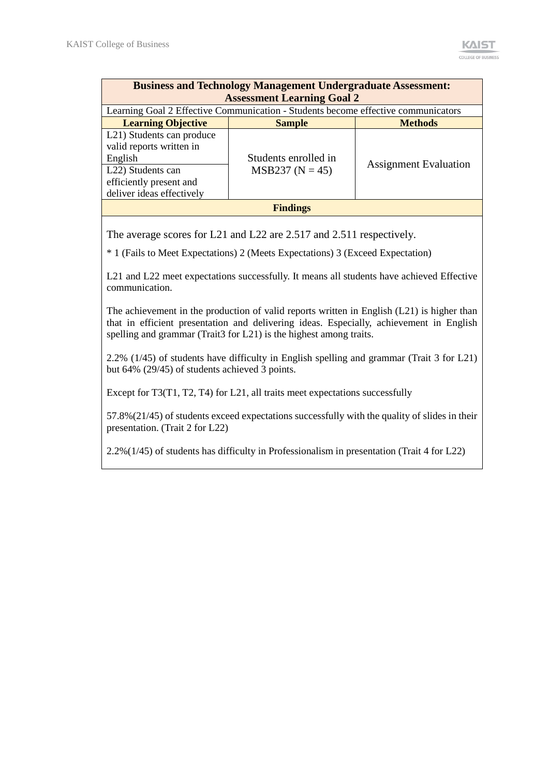| <b>Business and Technology Management Undergraduate Assessment:</b>               |                              |  |  |  |
|-----------------------------------------------------------------------------------|------------------------------|--|--|--|
| <b>Assessment Learning Goal 2</b>                                                 |                              |  |  |  |
| Learning Goal 2 Effective Communication - Students become effective communicators |                              |  |  |  |
| <b>Sample</b>                                                                     | <b>Methods</b>               |  |  |  |
|                                                                                   |                              |  |  |  |
|                                                                                   |                              |  |  |  |
| Students enrolled in                                                              |                              |  |  |  |
| $MSB237 (N = 45)$                                                                 | <b>Assignment Evaluation</b> |  |  |  |
|                                                                                   |                              |  |  |  |
|                                                                                   |                              |  |  |  |
| <b>Findings</b>                                                                   |                              |  |  |  |
|                                                                                   |                              |  |  |  |

The average scores for L21 and L22 are 2.517 and 2.511 respectively.

\* 1 (Fails to Meet Expectations) 2 (Meets Expectations) 3 (Exceed Expectation)

L21 and L22 meet expectations successfully. It means all students have achieved Effective communication.

The achievement in the production of valid reports written in English (L21) is higher than that in efficient presentation and delivering ideas. Especially, achievement in English spelling and grammar (Trait3 for L21) is the highest among traits.

2.2% (1/45) of students have difficulty in English spelling and grammar (Trait 3 for L21) but 64% (29/45) of students achieved 3 points.

Except for T3(T1, T2, T4) for L21, all traits meet expectations successfully

57.8%(21/45) of students exceed expectations successfully with the quality of slides in their presentation. (Trait 2 for L22)

2.2%(1/45) of students has difficulty in Professionalism in presentation (Trait 4 for L22)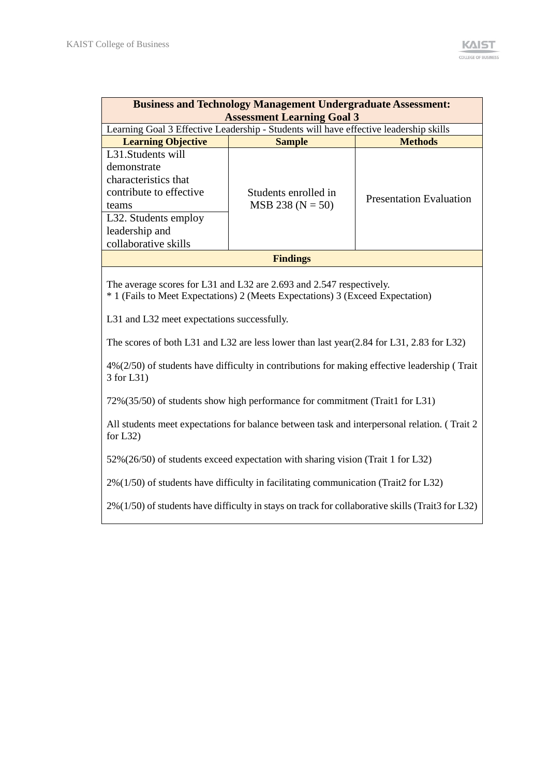| <b>Business and Technology Management Undergraduate Assessment:</b><br><b>Assessment Learning Goal 3</b> |                                                                                                        |                                |  |  |  |
|----------------------------------------------------------------------------------------------------------|--------------------------------------------------------------------------------------------------------|--------------------------------|--|--|--|
| <b>Learning Objective</b>                                                                                | Learning Goal 3 Effective Leadership - Students will have effective leadership skills<br><b>Sample</b> | <b>Methods</b>                 |  |  |  |
| L <sub>31</sub> . Students will                                                                          |                                                                                                        |                                |  |  |  |
| demonstrate                                                                                              |                                                                                                        |                                |  |  |  |
| characteristics that                                                                                     |                                                                                                        |                                |  |  |  |
| contribute to effective                                                                                  | Students enrolled in                                                                                   | <b>Presentation Evaluation</b> |  |  |  |
| teams                                                                                                    | $MSB 238 (N = 50)$                                                                                     |                                |  |  |  |
| L32. Students employ                                                                                     |                                                                                                        |                                |  |  |  |
| leadership and                                                                                           |                                                                                                        |                                |  |  |  |
| collaborative skills                                                                                     |                                                                                                        |                                |  |  |  |
| <b>Findings</b>                                                                                          |                                                                                                        |                                |  |  |  |

The average scores for L31 and L32 are 2.693 and 2.547 respectively.

\* 1 (Fails to Meet Expectations) 2 (Meets Expectations) 3 (Exceed Expectation)

L31 and L32 meet expectations successfully.

The scores of both L31 and L32 are less lower than last year(2.84 for L31, 2.83 for L32)

4%(2/50) of students have difficulty in contributions for making effective leadership ( Trait 3 for L31)

72%(35/50) of students show high performance for commitment (Trait1 for L31)

All students meet expectations for balance between task and interpersonal relation. ( Trait 2 for L32)

52%(26/50) of students exceed expectation with sharing vision (Trait 1 for L32)

2%(1/50) of students have difficulty in facilitating communication (Trait2 for L32)

2%(1/50) of students have difficulty in stays on track for collaborative skills (Trait3 for L32)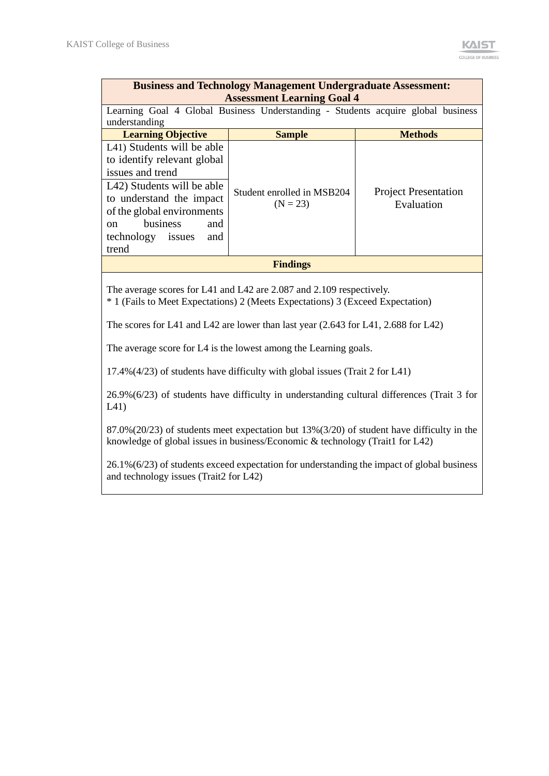| <b>Business and Technology Management Undergraduate Assessment:</b><br><b>Assessment Learning Goal 4</b>                                                                                                                                                              |                                          |                                           |  |
|-----------------------------------------------------------------------------------------------------------------------------------------------------------------------------------------------------------------------------------------------------------------------|------------------------------------------|-------------------------------------------|--|
| Learning Goal 4 Global Business Understanding - Students acquire global business<br>understanding                                                                                                                                                                     |                                          |                                           |  |
| <b>Learning Objective</b>                                                                                                                                                                                                                                             | <b>Sample</b>                            | <b>Methods</b>                            |  |
| L <sub>41</sub> ) Students will be able<br>to identify relevant global<br>issues and trend<br>L <sub>42</sub> ) Students will be able<br>to understand the impact<br>of the global environments<br>business<br>and<br>$\mathbf{on}$<br>technology issues and<br>trend | Student enrolled in MSB204<br>$(N = 23)$ | <b>Project Presentation</b><br>Evaluation |  |
| <b>Findings</b>                                                                                                                                                                                                                                                       |                                          |                                           |  |

The average scores for L41 and L42 are 2.087 and 2.109 respectively.

\* 1 (Fails to Meet Expectations) 2 (Meets Expectations) 3 (Exceed Expectation)

The scores for L41 and L42 are lower than last year (2.643 for L41, 2.688 for L42)

The average score for L4 is the lowest among the Learning goals.

17.4%(4/23) of students have difficulty with global issues (Trait 2 for L41)

26.9%(6/23) of students have difficulty in understanding cultural differences (Trait 3 for L41)

87.0%(20/23) of students meet expectation but 13%(3/20) of student have difficulty in the knowledge of global issues in business/Economic & technology (Trait1 for L42)

26.1%(6/23) of students exceed expectation for understanding the impact of global business and technology issues (Trait2 for L42)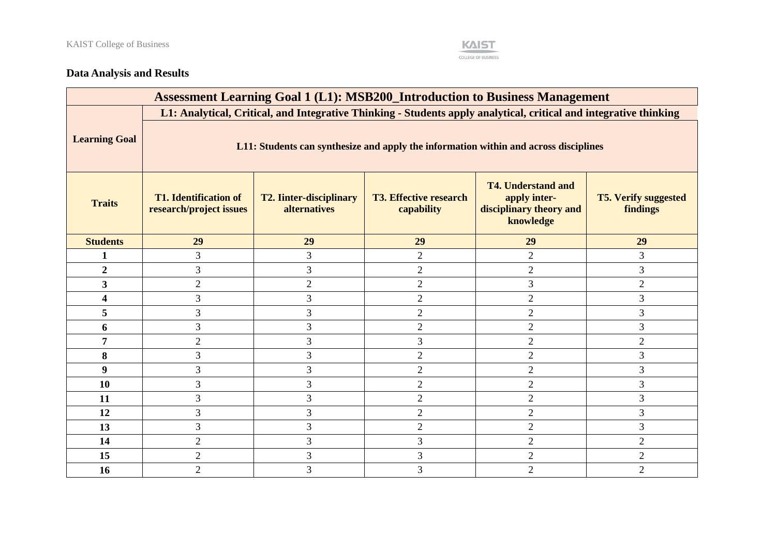

# **Data Analysis and Results**

| <b>Assessment Learning Goal 1 (L1): MSB200_Introduction to Business Management</b> |                                                                                                                   |                                                       |                                             |                                                                                   |                                         |
|------------------------------------------------------------------------------------|-------------------------------------------------------------------------------------------------------------------|-------------------------------------------------------|---------------------------------------------|-----------------------------------------------------------------------------------|-----------------------------------------|
|                                                                                    | L1: Analytical, Critical, and Integrative Thinking - Students apply analytical, critical and integrative thinking |                                                       |                                             |                                                                                   |                                         |
| <b>Learning Goal</b>                                                               | L11: Students can synthesize and apply the information within and across disciplines                              |                                                       |                                             |                                                                                   |                                         |
| <b>Traits</b>                                                                      | <b>T1. Identification of</b><br>research/project issues                                                           | <b>T2. Iinter-disciplinary</b><br><b>alternatives</b> | <b>T3. Effective research</b><br>capability | <b>T4. Understand and</b><br>apply inter-<br>disciplinary theory and<br>knowledge | <b>T5. Verify suggested</b><br>findings |
| <b>Students</b>                                                                    | 29                                                                                                                | 29                                                    | 29                                          | 29                                                                                | 29                                      |
| 1                                                                                  | 3                                                                                                                 | 3                                                     | $\overline{2}$                              | $\overline{2}$                                                                    | 3                                       |
| $\overline{2}$                                                                     | 3                                                                                                                 | 3                                                     | $\overline{2}$                              | $\overline{2}$                                                                    | 3                                       |
| $\overline{\mathbf{3}}$                                                            | $\overline{2}$                                                                                                    | $\overline{2}$                                        | $\overline{2}$                              | 3                                                                                 | $\overline{2}$                          |
| 4                                                                                  | 3                                                                                                                 | 3                                                     | $\overline{2}$                              | $\overline{2}$                                                                    | 3                                       |
| 5                                                                                  | 3                                                                                                                 | 3                                                     | $\overline{2}$                              | $\overline{2}$                                                                    | 3                                       |
| 6                                                                                  | 3                                                                                                                 | 3                                                     | $\overline{2}$                              | $\overline{2}$                                                                    | 3                                       |
| 7                                                                                  | $\overline{2}$                                                                                                    | 3                                                     | 3                                           | $\overline{2}$                                                                    | $\overline{2}$                          |
| 8                                                                                  | 3                                                                                                                 | 3                                                     | $\overline{2}$                              | $\overline{2}$                                                                    | 3                                       |
| 9                                                                                  | 3                                                                                                                 | $\overline{3}$                                        | $\overline{2}$                              | $\overline{2}$                                                                    | 3                                       |
| 10                                                                                 | 3                                                                                                                 | 3                                                     | $\overline{2}$                              | $\mathfrak{2}$                                                                    | 3                                       |
| 11                                                                                 | 3                                                                                                                 | 3                                                     | $\overline{2}$                              | $\overline{2}$                                                                    | 3                                       |
| 12                                                                                 | 3                                                                                                                 | 3                                                     | $\overline{2}$                              | $\overline{2}$                                                                    | 3                                       |
| 13                                                                                 | 3                                                                                                                 | 3                                                     | $\overline{2}$                              | $\overline{2}$                                                                    | $\overline{3}$                          |
| 14                                                                                 | $\overline{2}$                                                                                                    | 3                                                     | 3                                           | $\overline{2}$                                                                    | $\overline{2}$                          |
| 15                                                                                 | $\overline{2}$                                                                                                    | 3                                                     | $\overline{3}$                              | $\overline{2}$                                                                    | $\overline{2}$                          |
| 16                                                                                 | $\overline{2}$                                                                                                    | $\mathfrak{Z}$                                        | 3                                           | $\overline{2}$                                                                    | $\overline{2}$                          |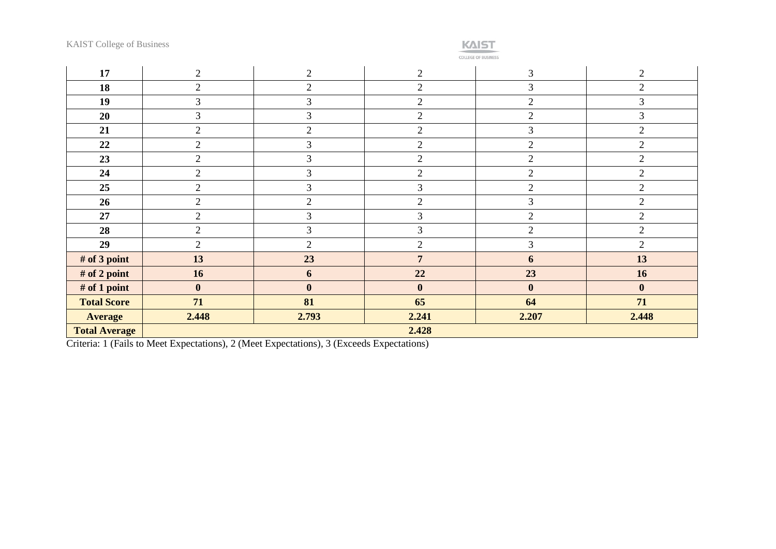

COLLEGE OF BUSINESS

| 17                   | 2              | 2              | $\overline{c}$   | $\overline{3}$ | $\mathbf{2}$   |
|----------------------|----------------|----------------|------------------|----------------|----------------|
| 18                   | $\overline{2}$ | $\overline{2}$ | $\overline{2}$   | $\mathfrak{Z}$ | $\overline{2}$ |
| 19                   | 3              | $\mathfrak{Z}$ | $\overline{2}$   | $\overline{2}$ | 3              |
| 20                   | 3              | $\mathfrak{Z}$ | $\overline{2}$   | $\overline{2}$ | $\overline{3}$ |
| 21                   | $\overline{2}$ | $\overline{2}$ | $\overline{2}$   | $\mathfrak{Z}$ | $\overline{2}$ |
| 22                   | $\overline{2}$ | $\mathfrak{Z}$ | $\overline{2}$   | $\overline{2}$ | $\overline{2}$ |
| 23                   | $\overline{2}$ | $\overline{3}$ | $\overline{2}$   | $\overline{2}$ | $\overline{2}$ |
| 24                   | $\overline{2}$ | 3              | $\overline{2}$   | $\overline{2}$ | $\mathbf{2}$   |
| 25                   | $\overline{2}$ | 3              | 3                | $\mathfrak{2}$ | $\overline{2}$ |
| 26                   | $\overline{2}$ | $\overline{2}$ | $\overline{2}$   | 3              | $\overline{2}$ |
| 27                   | $\overline{2}$ | 3              | 3                | $\overline{2}$ | $\overline{2}$ |
| 28                   | $\overline{2}$ | 3              | 3                | $\overline{2}$ | $\overline{2}$ |
| 29                   | $\overline{2}$ | 2              | $\overline{2}$   | $\mathfrak{Z}$ | $\overline{2}$ |
| # of 3 point         | 13             | 23             | $\overline{7}$   | 6              | 13             |
| # of 2 point         | 16             | 6              | 22               | 23             | 16             |
| # of 1 point         | $\bf{0}$       | $\mathbf{0}$   | $\boldsymbol{0}$ | $\bf{0}$       | $\mathbf{0}$   |
| <b>Total Score</b>   | 71             | 81             | 65               | 64             | 71             |
| <b>Average</b>       | 2.448          | 2.793          | 2.241            | 2.207          | 2.448          |
| <b>Total Average</b> | 2.428          |                |                  |                |                |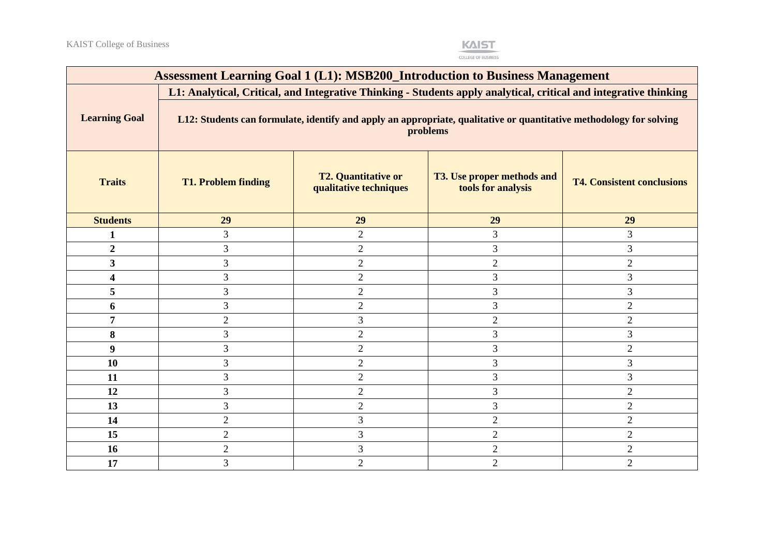**KAIST** 

| <b>Assessment Learning Goal 1 (L1): MSB200_Introduction to Business Management</b> |                                                                                                                                 |                                                                                                                   |                                                         |                                   |  |
|------------------------------------------------------------------------------------|---------------------------------------------------------------------------------------------------------------------------------|-------------------------------------------------------------------------------------------------------------------|---------------------------------------------------------|-----------------------------------|--|
|                                                                                    |                                                                                                                                 | L1: Analytical, Critical, and Integrative Thinking - Students apply analytical, critical and integrative thinking |                                                         |                                   |  |
| <b>Learning Goal</b>                                                               | L12: Students can formulate, identify and apply an appropriate, qualitative or quantitative methodology for solving<br>problems |                                                                                                                   |                                                         |                                   |  |
| <b>Traits</b>                                                                      | <b>T1. Problem finding</b>                                                                                                      | <b>T2. Quantitative or</b><br>qualitative techniques                                                              | <b>T3. Use proper methods and</b><br>tools for analysis | <b>T4. Consistent conclusions</b> |  |
| <b>Students</b>                                                                    | 29                                                                                                                              | 29                                                                                                                | 29                                                      | 29                                |  |
| 1                                                                                  | 3                                                                                                                               | $\overline{2}$                                                                                                    | 3                                                       | 3                                 |  |
| $\boldsymbol{2}$                                                                   | 3                                                                                                                               | $\overline{2}$                                                                                                    | 3                                                       | 3                                 |  |
| 3                                                                                  | 3                                                                                                                               | $\mathbf{2}$                                                                                                      | $\overline{2}$                                          | $\overline{2}$                    |  |
| 4                                                                                  | 3                                                                                                                               | $\sqrt{2}$                                                                                                        | 3                                                       | 3                                 |  |
| 5                                                                                  | 3                                                                                                                               | $\overline{2}$                                                                                                    | 3                                                       | 3                                 |  |
| 6                                                                                  | 3                                                                                                                               | $\overline{2}$                                                                                                    | 3                                                       | $\mathbf{2}$                      |  |
| 7                                                                                  | $\mathfrak{2}$                                                                                                                  | 3                                                                                                                 | $\mathbf{2}$                                            | $\mathbf{2}$                      |  |
| 8                                                                                  | 3                                                                                                                               | $\sqrt{2}$                                                                                                        | 3                                                       | 3                                 |  |
| 9                                                                                  | 3                                                                                                                               | $\overline{2}$                                                                                                    | 3                                                       | $\overline{2}$                    |  |
| 10                                                                                 | 3                                                                                                                               | $\overline{2}$                                                                                                    | 3                                                       | 3                                 |  |
| 11                                                                                 | 3                                                                                                                               | $\overline{2}$                                                                                                    | 3                                                       | 3                                 |  |
| 12                                                                                 | 3                                                                                                                               | 2                                                                                                                 | 3                                                       | $\overline{2}$                    |  |
| 13                                                                                 | 3                                                                                                                               | $\overline{2}$                                                                                                    | 3                                                       | $\overline{2}$                    |  |
| 14                                                                                 | $\overline{2}$                                                                                                                  | 3                                                                                                                 | $\overline{2}$                                          | $\overline{2}$                    |  |
| 15                                                                                 | $\mathbf{2}$                                                                                                                    | $\mathfrak{Z}$                                                                                                    | $\mathbf{2}$                                            | $\overline{2}$                    |  |
| 16                                                                                 | $\mathbf{2}$                                                                                                                    | $\overline{3}$                                                                                                    | $\mathbf{2}$                                            | $\mathbf{2}$                      |  |
| 17                                                                                 | 3                                                                                                                               | $\overline{2}$                                                                                                    | $\overline{2}$                                          | $\overline{2}$                    |  |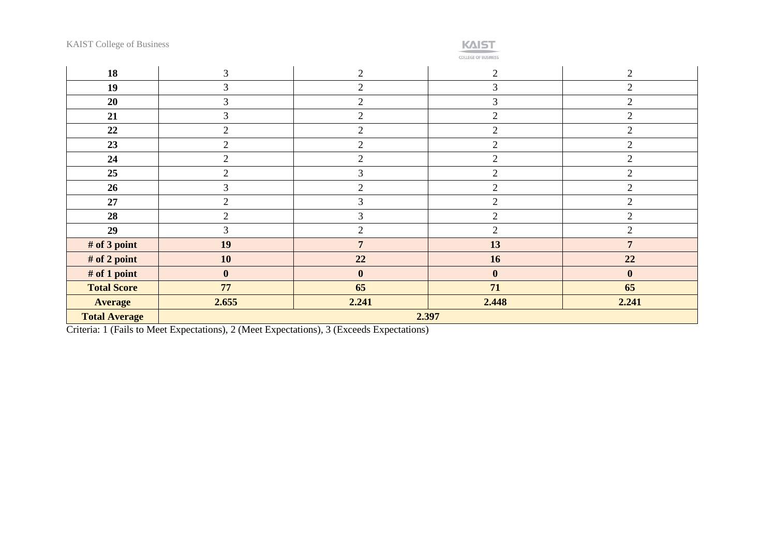| <b>KAIST College of Business</b> |  |
|----------------------------------|--|
|----------------------------------|--|



**COLLEGE OF BUSINESS** 

| 18                   | 3              | $\overline{2}$  | $\overline{2}$ | $\overline{2}$ |
|----------------------|----------------|-----------------|----------------|----------------|
| 19                   | 3              | $\overline{2}$  | 3              | $\overline{2}$ |
| 20                   | $\overline{3}$ | $\overline{2}$  | 3              | $\overline{2}$ |
| 21                   | 3              | $\overline{2}$  | $\overline{2}$ | $\overline{2}$ |
| 22                   | $\overline{2}$ | $\overline{2}$  | $\overline{2}$ | $\overline{2}$ |
| 23                   | $\overline{2}$ | $\overline{2}$  | 2              | 2              |
| 24                   | $\overline{2}$ | $\mathfrak{2}$  | $\overline{2}$ | $\overline{2}$ |
| 25                   | $\overline{2}$ | 3               | $\overline{2}$ | $\overline{2}$ |
| 26                   | 3              | $\overline{2}$  | $\overline{2}$ | $\overline{2}$ |
| 27                   | $\overline{2}$ | 3               | $\overline{2}$ | $\overline{2}$ |
| 28                   | $\overline{2}$ | 3               | $\overline{2}$ | $\overline{2}$ |
| 29                   | 3              | $\overline{2}$  | 2              | $\overline{2}$ |
| # of 3 point         | 19             | $7\phantom{.0}$ | 13             | $\overline{7}$ |
| # of 2 point         | 10             | 22              | 16             | 22             |
| # of 1 point         | $\bf{0}$       | $\mathbf{0}$    | $\mathbf{0}$   | $\mathbf{0}$   |
| <b>Total Score</b>   | 77             | 65              | 71             | 65             |
| <b>Average</b>       | 2.655          | 2.241           | 2.448          | 2.241          |
| <b>Total Average</b> | 2.397          |                 |                |                |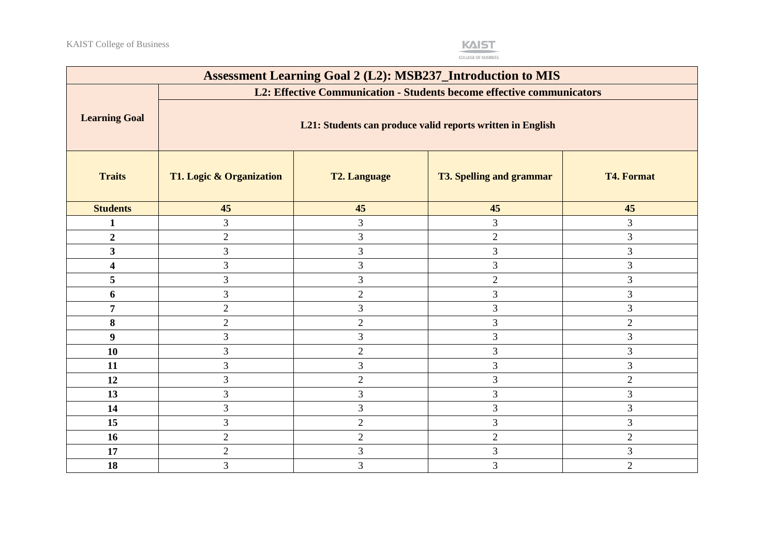

| <b>Assessment Learning Goal 2 (L2): MSB237_Introduction to MIS</b> |                                                            |                                                                       |                                 |                   |  |
|--------------------------------------------------------------------|------------------------------------------------------------|-----------------------------------------------------------------------|---------------------------------|-------------------|--|
|                                                                    |                                                            | L2: Effective Communication - Students become effective communicators |                                 |                   |  |
| <b>Learning Goal</b>                                               | L21: Students can produce valid reports written in English |                                                                       |                                 |                   |  |
| <b>Traits</b>                                                      | T1. Logic & Organization                                   | <b>T2. Language</b>                                                   | <b>T3. Spelling and grammar</b> | <b>T4. Format</b> |  |
| <b>Students</b>                                                    | 45                                                         | 45                                                                    | 45                              | 45                |  |
|                                                                    | $\mathfrak{Z}$                                             | $\overline{3}$                                                        | 3                               | 3                 |  |
| $\overline{2}$                                                     | $\overline{2}$                                             | 3                                                                     | $\overline{2}$                  | $\mathfrak{Z}$    |  |
| $\mathbf{3}$                                                       | $\overline{3}$                                             | $\mathfrak{Z}$                                                        | $\ensuremath{\mathfrak{Z}}$     | 3                 |  |
| $\overline{\mathbf{4}}$                                            | 3                                                          | 3                                                                     | $\mathfrak{Z}$                  | 3                 |  |
| 5                                                                  | 3                                                          | 3                                                                     | $\sqrt{2}$                      | 3                 |  |
| 6                                                                  | 3                                                          | $\overline{2}$                                                        | $\mathfrak{Z}$                  | 3                 |  |
| 7                                                                  | $\overline{2}$                                             | 3                                                                     | $\mathfrak{Z}$                  | 3                 |  |
| 8                                                                  | $\overline{2}$                                             | $\overline{2}$                                                        | 3                               | $\overline{2}$    |  |
| $\boldsymbol{9}$                                                   | 3                                                          | 3                                                                     | $\mathfrak{Z}$                  | $\mathfrak{Z}$    |  |
| 10                                                                 | 3                                                          | $\overline{2}$                                                        | $\mathfrak{Z}$                  | 3                 |  |
| 11                                                                 | 3                                                          | 3                                                                     | 3                               | $\mathfrak{Z}$    |  |
| 12                                                                 | 3                                                          | $\overline{2}$                                                        | $\mathfrak{Z}$                  | $\mathbf{2}$      |  |
| 13                                                                 | 3                                                          | 3                                                                     | 3                               | 3                 |  |
| 14                                                                 | 3                                                          | 3                                                                     | 3                               | 3                 |  |
| 15                                                                 | 3                                                          | $\overline{2}$                                                        | 3                               | $\mathfrak{Z}$    |  |
| 16                                                                 | $\overline{2}$                                             | $\overline{2}$                                                        | $\overline{2}$                  | $\overline{2}$    |  |
| 17                                                                 | $\sqrt{2}$                                                 | 3                                                                     | 3                               | $\mathfrak{Z}$    |  |
| 18                                                                 | $\overline{3}$                                             | 3                                                                     | 3                               | $\overline{2}$    |  |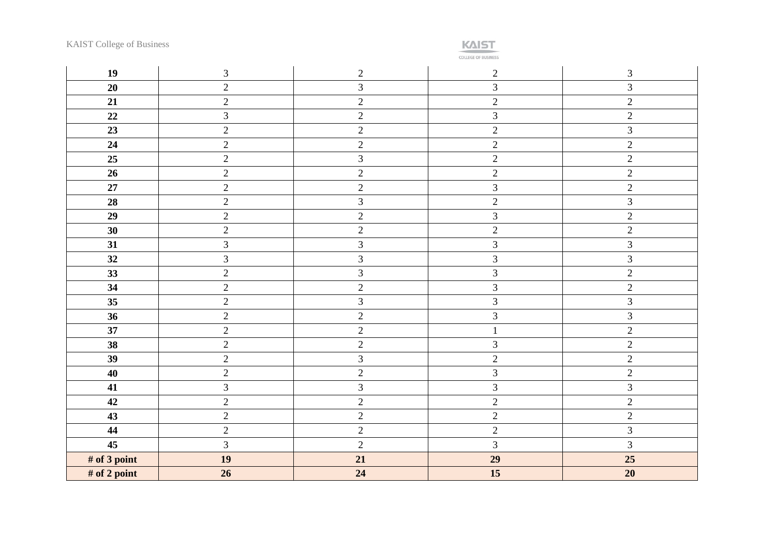**KAIST** 

| 19           | $\mathfrak{Z}$ | $\overline{2}$ | $\overline{2}$ | $\mathfrak{Z}$ |
|--------------|----------------|----------------|----------------|----------------|
| 20           | $\overline{2}$ | $\overline{3}$ | $\overline{3}$ | 3              |
| 21           | $\overline{2}$ | $\overline{2}$ | $\overline{2}$ | $\overline{c}$ |
| $22\,$       | $\mathfrak{Z}$ | $\overline{2}$ | $\mathfrak{Z}$ | $\overline{2}$ |
| 23           | $\sqrt{2}$     | $\overline{2}$ | $\overline{2}$ | $\mathfrak{Z}$ |
| 24           | $\overline{2}$ | $\overline{2}$ | $\overline{2}$ | $\overline{c}$ |
| 25           | $\overline{2}$ | $\mathfrak{Z}$ | $\overline{2}$ | $\overline{2}$ |
| 26           | $\overline{2}$ | $\overline{2}$ | $\overline{2}$ | $\overline{2}$ |
| $\bf 27$     | $\overline{2}$ | $\overline{c}$ | $\mathfrak{Z}$ | $\overline{c}$ |
| 28           | $\overline{2}$ | $\overline{3}$ | $\overline{2}$ | 3              |
| 29           | $\overline{2}$ | $\overline{2}$ | $\overline{3}$ | $\overline{2}$ |
| 30           | $\overline{2}$ | $\overline{2}$ | $\overline{2}$ | $\overline{c}$ |
| 31           | $\mathfrak{Z}$ | $\mathfrak{Z}$ | $\overline{3}$ | $\mathfrak{Z}$ |
| 32           | $\overline{3}$ | $\overline{3}$ | $\overline{3}$ | 3              |
| 33           | $\overline{2}$ | $\mathfrak{Z}$ | $\mathfrak{Z}$ | $\overline{2}$ |
| 34           | $\overline{c}$ | $\overline{c}$ | $\mathfrak{Z}$ | $\overline{c}$ |
| 35           | $\sqrt{2}$     | 3              | $\overline{3}$ | 3              |
| 36           | $\overline{2}$ | $\overline{2}$ | $\mathfrak{Z}$ | 3              |
| 37           | $\sqrt{2}$     | $\overline{c}$ | $\mathbf{1}$   | $\overline{2}$ |
| 38           | $\overline{2}$ | $\overline{2}$ | $\mathfrak{Z}$ | $\overline{c}$ |
| 39           | $\overline{2}$ | $\mathfrak{Z}$ | $\overline{2}$ | $\overline{c}$ |
| 40           | $\overline{2}$ | $\overline{2}$ | $\mathfrak{Z}$ | $\mathbf{2}$   |
| 41           | $\mathfrak{Z}$ | $\overline{3}$ | $\mathfrak{Z}$ | 3              |
| 42           | $\sqrt{2}$     | $\overline{2}$ | $\overline{2}$ | $\overline{c}$ |
| 43           | $\overline{2}$ | $\overline{2}$ | $\overline{2}$ | $\overline{2}$ |
| 44           | $\overline{2}$ | $\overline{2}$ | $\overline{2}$ | 3              |
| 45           | $\overline{3}$ | $\overline{2}$ | $\overline{3}$ | 3              |
| # of 3 point | 19             | 21             | 29             | 25             |
| # of 2 point | 26             | 24             | 15             | 20             |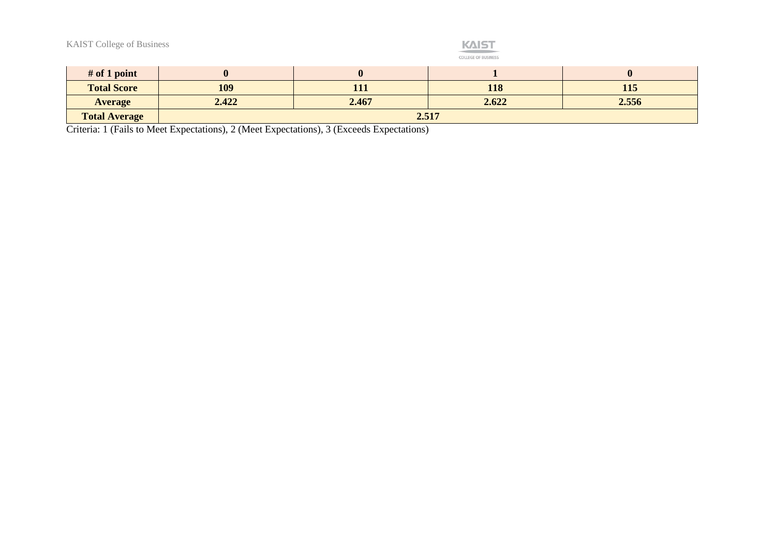|  | <b>KAIST College of Business</b> |  |  |
|--|----------------------------------|--|--|
|--|----------------------------------|--|--|



| $#$ of 1 point       |       |       |       |       |
|----------------------|-------|-------|-------|-------|
| <b>Total Score</b>   | 109   | 111   | 118   | 115   |
| <b>Average</b>       | 2.422 | 2.467 | 2.622 | 2.556 |
| <b>Total Average</b> | 2.517 |       |       |       |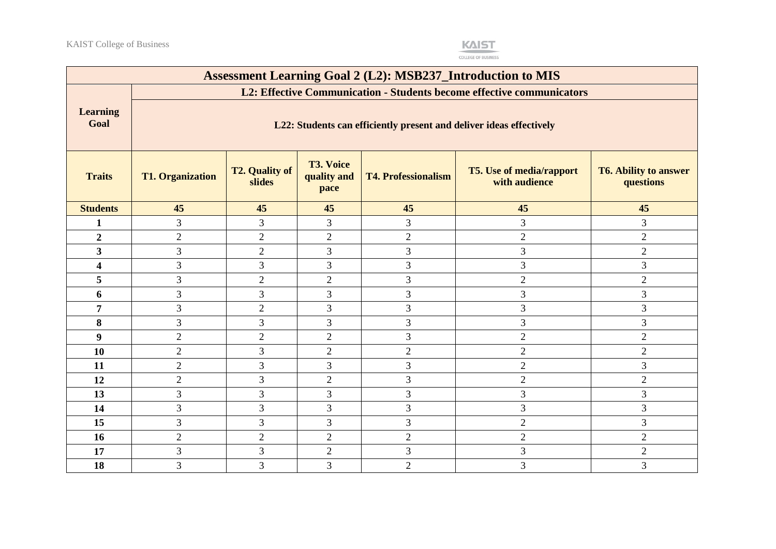

| <b>Assessment Learning Goal 2 (L2): MSB237_Introduction to MIS</b> |                                                                                                                                                                                                                                      |                            |                |                |                |                |  |  |
|--------------------------------------------------------------------|--------------------------------------------------------------------------------------------------------------------------------------------------------------------------------------------------------------------------------------|----------------------------|----------------|----------------|----------------|----------------|--|--|
|                                                                    | L2: Effective Communication - Students become effective communicators                                                                                                                                                                |                            |                |                |                |                |  |  |
| <b>Learning</b><br>Goal                                            | L22: Students can efficiently present and deliver ideas effectively                                                                                                                                                                  |                            |                |                |                |                |  |  |
| <b>Traits</b>                                                      | <b>T3. Voice</b><br><b>T2. Quality of</b><br><b>T5.</b> Use of media/rapport<br><b>T6. Ability to answer</b><br><b>T4. Professionalism</b><br><b>T1. Organization</b><br>quality and<br>with audience<br>slides<br>questions<br>pace |                            |                |                |                |                |  |  |
| <b>Students</b>                                                    | 45                                                                                                                                                                                                                                   | 45<br>45<br>45<br>45<br>45 |                |                |                |                |  |  |
| $\mathbf{1}$                                                       | 3                                                                                                                                                                                                                                    | $\mathfrak{Z}$             | 3              | 3              | 3              | 3              |  |  |
| $\boldsymbol{2}$                                                   | $\overline{2}$                                                                                                                                                                                                                       | $\overline{2}$             | $\overline{2}$ | $\mathfrak{2}$ | $\sqrt{2}$     | $\overline{2}$ |  |  |
| $\mathbf{3}$                                                       | $\overline{3}$                                                                                                                                                                                                                       | $\overline{2}$             | 3              | 3              | $\overline{3}$ | $\overline{2}$ |  |  |
| $\overline{\mathbf{4}}$                                            | $\overline{3}$                                                                                                                                                                                                                       | $\overline{3}$             | $\overline{3}$ | 3              | 3              | 3              |  |  |
| 5                                                                  | 3                                                                                                                                                                                                                                    | $\overline{2}$             | $\overline{2}$ | 3              | $\overline{2}$ | $\overline{2}$ |  |  |
| 6                                                                  | $\overline{3}$                                                                                                                                                                                                                       | $\mathfrak{Z}$             | 3              | 3              | $\overline{3}$ | 3              |  |  |
| $\overline{7}$                                                     | $\overline{3}$                                                                                                                                                                                                                       | $\overline{2}$             | 3              | $\overline{3}$ | $\overline{3}$ | $\overline{3}$ |  |  |
| 8                                                                  | $\overline{3}$                                                                                                                                                                                                                       | 3                          | 3              | 3              | 3              | 3              |  |  |
| $\boldsymbol{9}$                                                   | $\mathbf{2}$                                                                                                                                                                                                                         | $\overline{2}$             | $\overline{2}$ | 3              | $\mathbf{2}$   | $\mathbf{2}$   |  |  |
| 10                                                                 | $\overline{2}$                                                                                                                                                                                                                       | 3                          | $\overline{2}$ | $\mathfrak{2}$ | $\overline{2}$ | $\overline{2}$ |  |  |
| 11                                                                 | $\overline{2}$                                                                                                                                                                                                                       | 3                          | 3              | 3              | $\overline{2}$ | 3              |  |  |
| 12                                                                 | $\sqrt{2}$                                                                                                                                                                                                                           | $\mathfrak{Z}$             | $\overline{2}$ | 3              | $\overline{c}$ | $\overline{c}$ |  |  |
| 13                                                                 | 3                                                                                                                                                                                                                                    | $\mathfrak{Z}$             | 3              | 3              | 3              | 3              |  |  |
| 14                                                                 | $\overline{3}$                                                                                                                                                                                                                       | 3                          | 3              | 3              | $\overline{3}$ | 3              |  |  |
| 15                                                                 | 3                                                                                                                                                                                                                                    | $\overline{3}$             | 3              | 3              | $\mathbf{2}$   | 3              |  |  |
| 16                                                                 | $\overline{2}$                                                                                                                                                                                                                       | $\overline{2}$             | $\overline{2}$ | $\overline{2}$ | $\overline{2}$ | $\overline{2}$ |  |  |
| 17                                                                 | 3                                                                                                                                                                                                                                    | 3                          | $\overline{2}$ | 3              | 3              | $\mathbf{2}$   |  |  |
| 18                                                                 | $\overline{3}$                                                                                                                                                                                                                       | 3                          | 3              | $\overline{2}$ | $\overline{3}$ | $\overline{3}$ |  |  |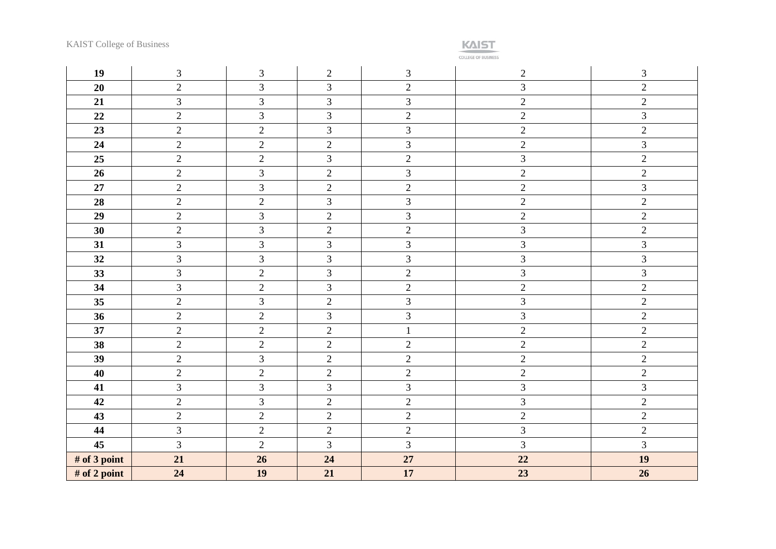**KAIST** 

| 19           | $\mathfrak{Z}$ | $\mathfrak{Z}$ | $\mathfrak{2}$ | $\mathfrak{Z}$ | $\overline{2}$ | $\mathfrak{Z}$ |
|--------------|----------------|----------------|----------------|----------------|----------------|----------------|
| 20           | $\sqrt{2}$     | 3              | 3              | $\sqrt{2}$     | 3              | $\overline{2}$ |
| 21           | $\overline{3}$ | $\overline{3}$ | 3              | 3              | $\overline{2}$ | $\overline{2}$ |
| 22           | $\sqrt{2}$     | 3              | 3              | $\overline{2}$ | $\overline{2}$ | 3              |
| 23           | $\sqrt{2}$     | $\overline{c}$ | $\overline{3}$ | 3              | $\overline{c}$ | $\overline{2}$ |
| 24           | $\overline{2}$ | $\overline{2}$ | $\overline{2}$ | $\mathfrak{Z}$ | $\overline{2}$ | 3              |
| 25           | $\overline{2}$ | $\sqrt{2}$     | 3              | $\sqrt{2}$     | $\overline{3}$ | $\overline{2}$ |
| 26           | $\overline{2}$ | $\overline{3}$ | $\overline{2}$ | $\overline{3}$ | $\overline{2}$ | $\mathbf{2}$   |
| $27\,$       | $\sqrt{2}$     | 3              | $\overline{2}$ | $\sqrt{2}$     | $\overline{c}$ | $\mathfrak{Z}$ |
| 28           | $\sqrt{2}$     | $\overline{2}$ | $\overline{3}$ | $\overline{3}$ | $\overline{2}$ | $\overline{c}$ |
| 29           | $\sqrt{2}$     | 3              | $\sqrt{2}$     | 3              | $\overline{2}$ | $\overline{c}$ |
| 30           | $\overline{2}$ | $\overline{3}$ | $\overline{2}$ | $\sqrt{2}$     | $\overline{3}$ | $\overline{2}$ |
| 31           | $\mathfrak{Z}$ | 3              | $\overline{3}$ | $\mathfrak{Z}$ | $\overline{3}$ | $\overline{3}$ |
| 32           | 3              | 3              | 3              | 3              | 3              | 3              |
| 33           | 3              | $\overline{2}$ | 3              | $\sqrt{2}$     | 3              | 3              |
| 34           | $\overline{3}$ | $\sqrt{2}$     | $\overline{3}$ | $\sqrt{2}$     | $\overline{c}$ | $\overline{2}$ |
| 35           | $\overline{2}$ | $\overline{3}$ | $\overline{2}$ | $\overline{3}$ | $\overline{3}$ | $\overline{2}$ |
| 36           | $\sqrt{2}$     | $\sqrt{2}$     | 3              | $\mathfrak{Z}$ | 3              | $\overline{c}$ |
| 37           | $\sqrt{2}$     | $\sqrt{2}$     | $\overline{2}$ | $\mathbf 1$    | $\overline{2}$ | $\mathbf{2}$   |
| 38           | $\overline{2}$ | $\overline{2}$ | $\overline{2}$ | $\sqrt{2}$     | $\overline{c}$ | $\overline{2}$ |
| 39           | $\sqrt{2}$     | 3              | $\overline{2}$ | $\sqrt{2}$     | $\overline{2}$ | $\overline{2}$ |
| 40           | $\sqrt{2}$     | $\sqrt{2}$     | $\sqrt{2}$     | $\sqrt{2}$     | $\overline{2}$ | $\overline{c}$ |
| 41           | 3              | 3              | 3              | 3              | 3              | $\overline{3}$ |
| 42           | $\overline{2}$ | $\overline{3}$ | $\overline{2}$ | $\overline{2}$ | $\overline{3}$ | $\overline{2}$ |
| 43           | $\sqrt{2}$     | $\overline{2}$ | $\overline{2}$ | $\sqrt{2}$     | $\overline{c}$ | $\overline{2}$ |
| 44           | $\overline{3}$ | $\overline{2}$ | $\overline{2}$ | $\overline{2}$ | $\overline{3}$ | $\overline{2}$ |
| 45           | 3              | $\overline{2}$ | $\overline{3}$ | $\overline{3}$ | $\overline{3}$ | $\overline{3}$ |
| # of 3 point | 21             | 26             | 24             | 27             | 22             | 19             |
| # of 2 point | 24             | 19             | 21             | 17             | 23             | 26             |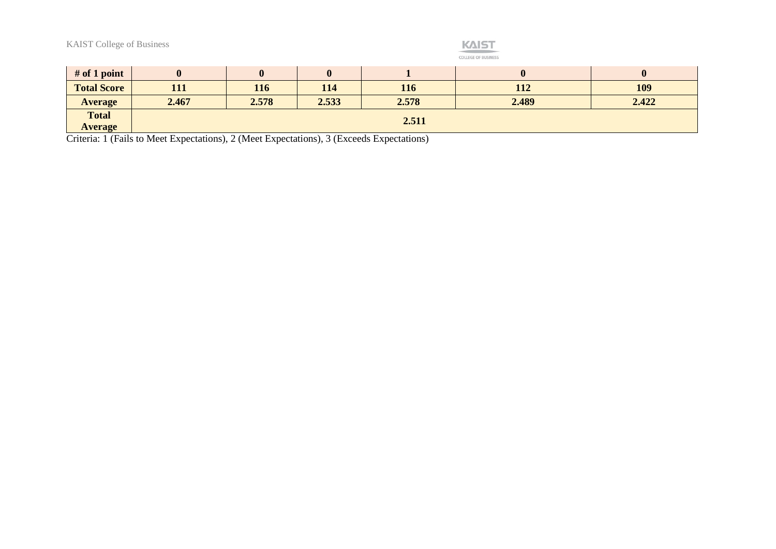#### **KAIST** COLLEGE OF BUSINESS

| $#$ of 1 point                 |            |       |       |       |       |       |
|--------------------------------|------------|-------|-------|-------|-------|-------|
| <b>Total Score</b>             | <b>111</b> | 116   | 114   | 116   | 112   | 109   |
| <b>Average</b>                 | 2.467      | 2.578 | 2.533 | 2.578 | 2.489 | 2.422 |
| <b>Total</b><br><b>Average</b> | 2.511      |       |       |       |       |       |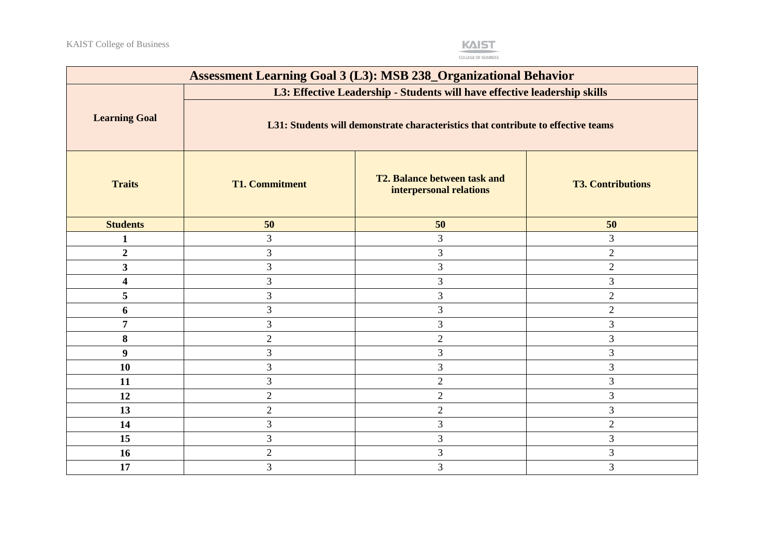

| <b>Assessment Learning Goal 3 (L3): MSB 238_Organizational Behavior</b> |                                                                                                                                                                |                                                                |                          |  |  |
|-------------------------------------------------------------------------|----------------------------------------------------------------------------------------------------------------------------------------------------------------|----------------------------------------------------------------|--------------------------|--|--|
|                                                                         | L3: Effective Leadership - Students will have effective leadership skills<br>L31: Students will demonstrate characteristics that contribute to effective teams |                                                                |                          |  |  |
| <b>Learning Goal</b>                                                    |                                                                                                                                                                |                                                                |                          |  |  |
| <b>Traits</b>                                                           | <b>T1. Commitment</b>                                                                                                                                          | <b>T2. Balance between task and</b><br>interpersonal relations | <b>T3. Contributions</b> |  |  |
| <b>Students</b>                                                         | 50                                                                                                                                                             | 50                                                             | 50                       |  |  |
| $\mathbf{1}$                                                            | 3                                                                                                                                                              | 3                                                              | $\mathfrak{Z}$           |  |  |
| $\boldsymbol{2}$                                                        | 3                                                                                                                                                              | 3                                                              | $\overline{2}$           |  |  |
| $\overline{\mathbf{3}}$                                                 | 3                                                                                                                                                              | 3                                                              | $\overline{2}$           |  |  |
| $\overline{\mathbf{4}}$                                                 | $\overline{3}$                                                                                                                                                 | 3                                                              | $\overline{3}$           |  |  |
| 5                                                                       | 3                                                                                                                                                              | 3                                                              | $\overline{2}$           |  |  |
| 6                                                                       | 3                                                                                                                                                              | 3                                                              | $\sqrt{2}$               |  |  |
| $\overline{7}$                                                          | 3                                                                                                                                                              | $\mathfrak{Z}$                                                 | 3                        |  |  |
| 8                                                                       | $\overline{2}$                                                                                                                                                 | $\sqrt{2}$                                                     | $\mathfrak{Z}$           |  |  |
| 9                                                                       | 3                                                                                                                                                              | $\mathfrak{Z}$                                                 | $\mathfrak{Z}$           |  |  |
| 10                                                                      | 3                                                                                                                                                              | 3                                                              | 3                        |  |  |
| 11                                                                      | 3                                                                                                                                                              | $\overline{2}$                                                 | $\mathfrak{Z}$           |  |  |
| 12                                                                      | $\overline{2}$                                                                                                                                                 | $\sqrt{2}$                                                     | 3                        |  |  |
| 13                                                                      | $\overline{2}$                                                                                                                                                 | $\sqrt{2}$                                                     | 3                        |  |  |
| 14                                                                      | 3                                                                                                                                                              | 3                                                              | $\sqrt{2}$               |  |  |
| 15                                                                      | 3                                                                                                                                                              | $\mathfrak{Z}$                                                 | 3                        |  |  |
| 16                                                                      | $\overline{2}$                                                                                                                                                 | 3                                                              | $\mathfrak{Z}$           |  |  |
| 17                                                                      | 3                                                                                                                                                              | 3                                                              | 3                        |  |  |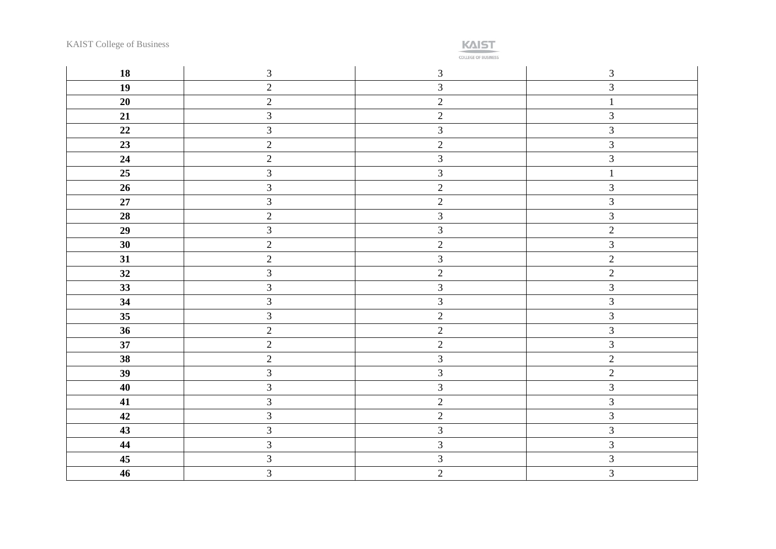**KAIST** 

| 18     | $\mathfrak{Z}$          | $\mathfrak{Z}$          | $\mathfrak{Z}$ |
|--------|-------------------------|-------------------------|----------------|
| 19     | $\sqrt{2}$              | $\mathfrak{Z}$          | $\sqrt{3}$     |
| 20     | $\overline{c}$          | $\overline{2}$          | $\mathbf{1}$   |
| 21     | $\overline{3}$          | $\overline{2}$          | $\mathfrak{Z}$ |
| 22     | $\mathfrak{Z}$          | $\overline{3}$          | $\sqrt{3}$     |
| 23     | $\overline{2}$          | $\overline{2}$          | $\mathfrak{Z}$ |
| 24     | $\overline{c}$          | $\overline{3}$          | $\mathfrak{Z}$ |
| 25     | $\overline{\mathbf{3}}$ | $\overline{\mathbf{3}}$ | $\mathbf{1}$   |
| 26     | $\overline{\mathbf{3}}$ | $\overline{2}$          | $\mathfrak{Z}$ |
| $27\,$ | $\overline{3}$          | $\overline{2}$          | $\mathfrak{Z}$ |
| 28     | $\sqrt{2}$              | $\overline{3}$          | $\mathfrak{Z}$ |
| 29     | $\mathfrak{Z}$          | $\overline{3}$          | $\sqrt{2}$     |
| 30     | $\overline{2}$          | $\overline{2}$          | $\mathfrak{Z}$ |
| 31     | $\overline{2}$          | $\overline{3}$          | $\sqrt{2}$     |
| 32     | $\overline{3}$          | $\overline{2}$          | $\sqrt{2}$     |
| 33     | $\overline{\mathbf{3}}$ | $\mathfrak{Z}$          | $\sqrt{3}$     |
| 34     | $\overline{3}$          | $\overline{3}$          | $\mathfrak{Z}$ |
| 35     | $\overline{3}$          | $\overline{2}$          | $\mathfrak{Z}$ |
| 36     | $\overline{c}$          | $\overline{2}$          | $\sqrt{3}$     |
| 37     | $\overline{2}$          | $\overline{2}$          | $\overline{3}$ |
| 38     | $\overline{2}$          | $\overline{3}$          | $\overline{2}$ |
| 39     | $\overline{\mathbf{3}}$ | $\overline{\mathbf{3}}$ | $\overline{2}$ |
| 40     | $\overline{3}$          | $\overline{3}$          | $\sqrt{3}$     |
| 41     | $\overline{3}$          | $\overline{2}$          | $\mathfrak{Z}$ |
| 42     | $\mathfrak{Z}$          | $\sqrt{2}$              | $\sqrt{3}$     |
| 43     | $\overline{3}$          | $\overline{\mathbf{3}}$ | $\sqrt{3}$     |
| 44     | $\overline{\mathbf{3}}$ | $\overline{3}$          | $\mathfrak{Z}$ |
| 45     | $\mathfrak{Z}$          | $\mathfrak{Z}$          | $\mathfrak{Z}$ |
| 46     | $\overline{3}$          | $\overline{2}$          | $\overline{3}$ |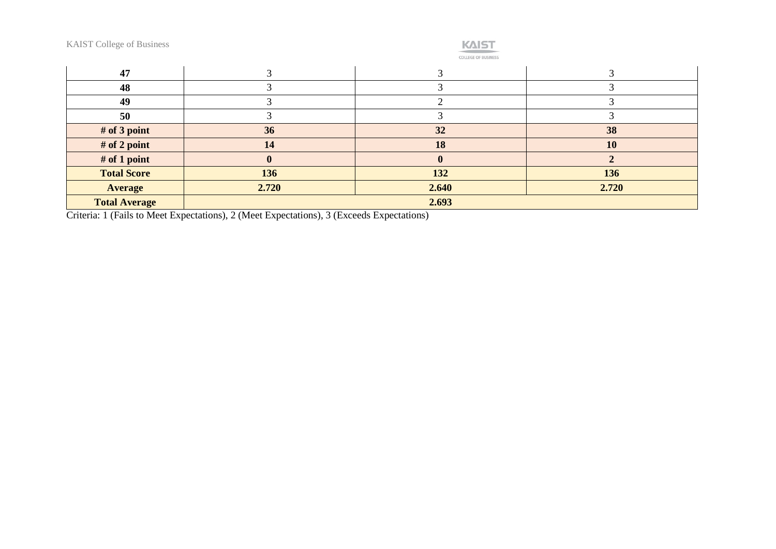| <b>KAIST College of Business</b> |          | <b>KAIST</b><br><b>COLLEGE OF BUSINESS</b> |       |
|----------------------------------|----------|--------------------------------------------|-------|
| 47                               |          |                                            |       |
| 48                               |          | ⌒                                          |       |
| 49                               |          | ↑                                          |       |
| 50                               |          | ⌒                                          |       |
| # of 3 point                     | 36       | 32                                         | 38    |
| # of 2 point                     | 14       | 18                                         | 10    |
| # of 1 point                     | $\bf{0}$ | $\mathbf{0}$                               |       |
| <b>Total Score</b>               | 136      | 132                                        | 136   |
| <b>Average</b>                   | 2.720    | 2.640                                      | 2.720 |
| <b>Total Average</b>             |          | 2.693                                      |       |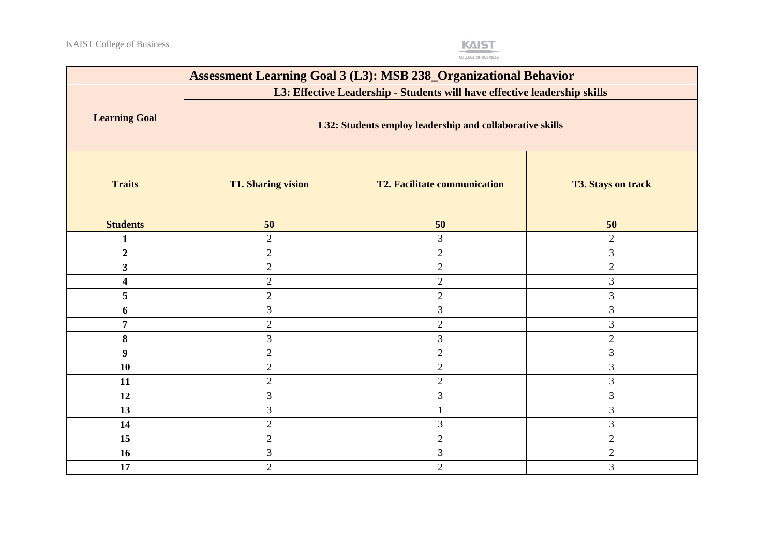

| <b>Assessment Learning Goal 3 (L3): MSB 238_Organizational Behavior</b> |                                                                           |                                     |                           |  |  |  |
|-------------------------------------------------------------------------|---------------------------------------------------------------------------|-------------------------------------|---------------------------|--|--|--|
|                                                                         | L3: Effective Leadership - Students will have effective leadership skills |                                     |                           |  |  |  |
| <b>Learning Goal</b>                                                    | L32: Students employ leadership and collaborative skills                  |                                     |                           |  |  |  |
| <b>Traits</b>                                                           | <b>T1. Sharing vision</b>                                                 | <b>T2. Facilitate communication</b> | <b>T3. Stays on track</b> |  |  |  |
| <b>Students</b>                                                         | 50                                                                        | 50                                  | 50                        |  |  |  |
| $\mathbf{1}$                                                            | $\overline{2}$                                                            | $\mathfrak{Z}$                      | $\overline{2}$            |  |  |  |
| $\overline{2}$                                                          | $\overline{2}$                                                            | $\overline{2}$                      | $\mathfrak{Z}$            |  |  |  |
| $\overline{\mathbf{3}}$                                                 | $\overline{2}$                                                            | $\overline{2}$                      | $\sqrt{2}$                |  |  |  |
| 4                                                                       | $\overline{2}$                                                            | $\overline{2}$                      | $\mathfrak{Z}$            |  |  |  |
| 5                                                                       | $\overline{2}$                                                            | $\overline{2}$                      | $\mathfrak{Z}$            |  |  |  |
| 6                                                                       | 3                                                                         | $\mathfrak{Z}$                      | 3                         |  |  |  |
| $\overline{7}$                                                          | $\overline{2}$                                                            | $\mathfrak{2}$                      | 3                         |  |  |  |
| 8                                                                       | 3                                                                         | $\mathfrak{Z}$                      | $\sqrt{2}$                |  |  |  |
| 9                                                                       | $\overline{2}$                                                            | $\overline{2}$                      | $\mathfrak{Z}$            |  |  |  |
| 10                                                                      | $\overline{2}$                                                            | $\sqrt{2}$                          | 3                         |  |  |  |
| 11                                                                      | $\overline{2}$                                                            | $\overline{2}$                      | $\mathfrak{Z}$            |  |  |  |
| 12                                                                      | 3                                                                         | 3                                   | 3                         |  |  |  |
| 13                                                                      | 3                                                                         |                                     | $\mathfrak{Z}$            |  |  |  |
| 14                                                                      | $\overline{2}$                                                            | 3                                   | $\mathfrak{Z}$            |  |  |  |
| 15                                                                      | $\overline{2}$                                                            | $\overline{2}$                      | $\overline{2}$            |  |  |  |
| 16                                                                      | 3                                                                         | $\mathfrak{Z}$                      | $\sqrt{2}$                |  |  |  |
| 17                                                                      | $\overline{2}$                                                            | $\overline{2}$                      | $\mathfrak{Z}$            |  |  |  |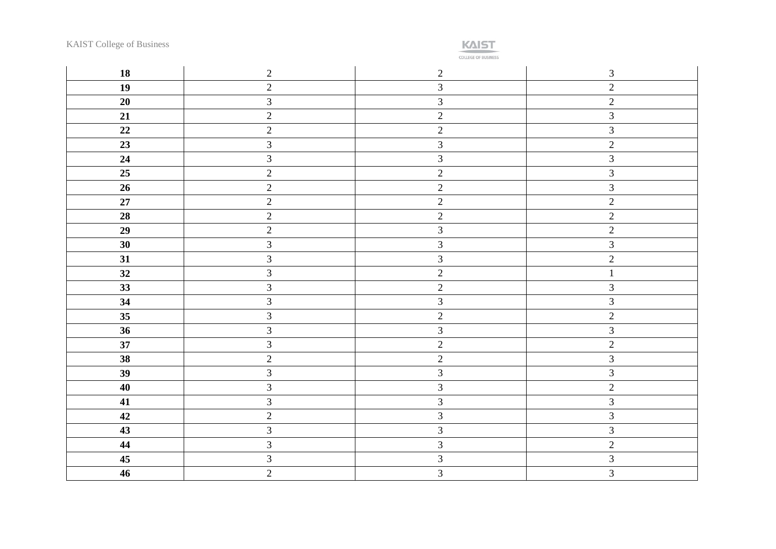

| 18     | $\overline{2}$          | $\overline{2}$ | $\mathfrak{Z}$          |
|--------|-------------------------|----------------|-------------------------|
| 19     | $\sqrt{2}$              | $\mathfrak{Z}$ | $\sqrt{2}$              |
| 20     | $\mathfrak{Z}$          | $\mathfrak{Z}$ | $\overline{2}$          |
| 21     | $\overline{c}$          | $\overline{2}$ | $\overline{3}$          |
| 22     | $\sqrt{2}$              | $\overline{2}$ | $\mathfrak{Z}$          |
| 23     | $\overline{\mathbf{3}}$ | $\overline{3}$ | $\overline{2}$          |
| 24     | $\overline{\mathbf{3}}$ | $\mathfrak{Z}$ | $\mathfrak{Z}$          |
| 25     | $\overline{2}$          | $\overline{2}$ | $\overline{3}$          |
| 26     | $\overline{2}$          | $\overline{2}$ | $\overline{\mathbf{3}}$ |
| $27\,$ | $\overline{c}$          | $\overline{2}$ | $\sqrt{2}$              |
| 28     | $\sqrt{2}$              | $\overline{c}$ | $\overline{2}$          |
| 29     | $\overline{c}$          | $\mathfrak{Z}$ | $\sqrt{2}$              |
| 30     | $\mathfrak{Z}$          | $\overline{3}$ | $\overline{3}$          |
| 31     | $\overline{3}$          | $\mathfrak{Z}$ | $\overline{2}$          |
| 32     | $\overline{3}$          | $\overline{2}$ | $\mathbf{1}$            |
| 33     | $\mathfrak{Z}$          | $\overline{c}$ | $\mathfrak{Z}$          |
| 34     | $\overline{\mathbf{3}}$ | $\overline{3}$ | $\overline{3}$          |
| 35     | $\overline{3}$          | $\overline{c}$ | $\overline{2}$          |
| 36     | $\mathfrak{Z}$          | $\mathfrak{Z}$ | $\mathfrak{Z}$          |
| 37     | $\overline{\mathbf{3}}$ | $\overline{2}$ | $\overline{2}$          |
| 38     | $\overline{c}$          | $\overline{c}$ | $\mathfrak{Z}$          |
| 39     | $\overline{3}$          | $\overline{3}$ | $\mathfrak{Z}$          |
| 40     | $\mathfrak{Z}$          | $\overline{3}$ | $\overline{2}$          |
| 41     | $\overline{3}$          | $\overline{3}$ | $\overline{\mathbf{3}}$ |
| 42     | $\overline{c}$          | $\overline{3}$ | $\overline{3}$          |
| 43     | $\overline{3}$          | $\mathfrak{Z}$ | $\mathfrak{Z}$          |
| 44     | $\overline{3}$          | $\overline{3}$ | $\overline{2}$          |
| 45     | $\overline{\mathbf{3}}$ | $\overline{3}$ | $\overline{3}$          |
| 46     | $\overline{2}$          | $\overline{3}$ | $\overline{3}$          |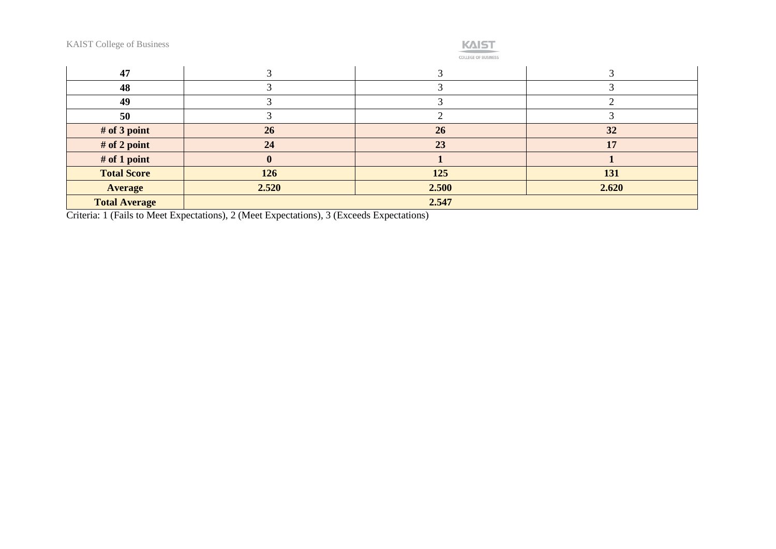| <b>KAIST College of Business</b> |          | <b>KAIST</b><br><b>COLLEGE OF BUSINESS</b> |       |  |
|----------------------------------|----------|--------------------------------------------|-------|--|
| 47                               |          |                                            |       |  |
| 48                               |          | っ                                          |       |  |
| 49                               |          | 3                                          | ി     |  |
| 50                               |          |                                            |       |  |
| # of 3 point                     | 26       | 26                                         | 32    |  |
| # of 2 point                     | 24       | 23                                         | 17    |  |
| # of 1 point                     | $\bf{0}$ |                                            |       |  |
| <b>Total Score</b>               | 126      | 125                                        | 131   |  |
| <b>Average</b>                   | 2.520    | 2.500                                      | 2.620 |  |
| <b>Total Average</b>             |          | 2.547                                      |       |  |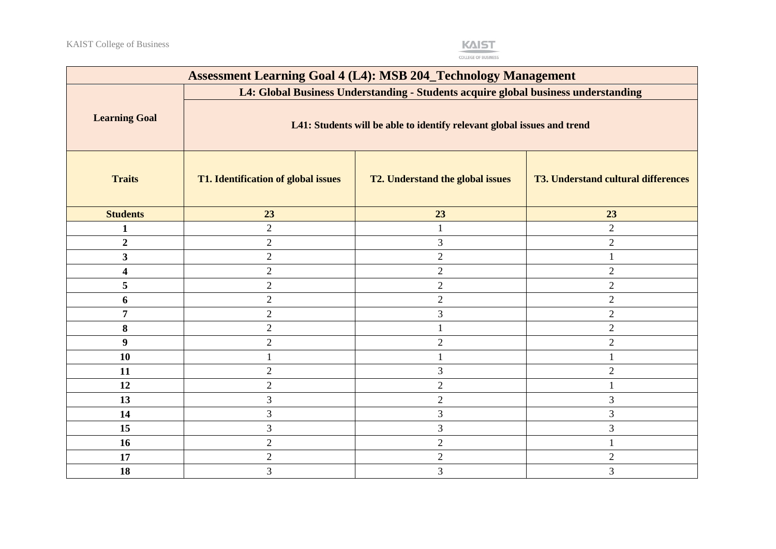

| <b>Assessment Learning Goal 4 (L4): MSB 204_Technology Management</b> |                                                                                    |                                  |                                            |  |  |  |
|-----------------------------------------------------------------------|------------------------------------------------------------------------------------|----------------------------------|--------------------------------------------|--|--|--|
|                                                                       | L4: Global Business Understanding - Students acquire global business understanding |                                  |                                            |  |  |  |
| <b>Learning Goal</b>                                                  | L41: Students will be able to identify relevant global issues and trend            |                                  |                                            |  |  |  |
| <b>Traits</b>                                                         | T1. Identification of global issues                                                | T2. Understand the global issues | <b>T3. Understand cultural differences</b> |  |  |  |
| <b>Students</b>                                                       | 23                                                                                 | 23                               | 23                                         |  |  |  |
| 1                                                                     | $\overline{2}$                                                                     | 1                                | $\overline{2}$                             |  |  |  |
| $\boldsymbol{2}$                                                      | $\overline{2}$                                                                     | 3                                | $\mathbf{2}$                               |  |  |  |
| $\overline{\mathbf{3}}$                                               | $\overline{2}$                                                                     | $\overline{2}$                   | $\mathbf{1}$                               |  |  |  |
| 4                                                                     | $\overline{2}$                                                                     | $\overline{2}$                   | $\overline{2}$                             |  |  |  |
| 5                                                                     | $\overline{2}$                                                                     | $\overline{2}$                   | $\mathbf{2}$                               |  |  |  |
| 6                                                                     | $\overline{2}$                                                                     | $\overline{2}$                   | $\sqrt{2}$                                 |  |  |  |
| 7                                                                     | $\overline{2}$                                                                     | 3                                | $\sqrt{2}$                                 |  |  |  |
| 8                                                                     | $\overline{2}$                                                                     |                                  | $\mathbf{2}$                               |  |  |  |
| 9                                                                     | $\overline{2}$                                                                     | $\sqrt{2}$                       | $\overline{2}$                             |  |  |  |
| 10                                                                    |                                                                                    | 1                                | $\mathbf{1}$                               |  |  |  |
| 11                                                                    | $\overline{2}$                                                                     | 3                                | $\mathbf{2}$                               |  |  |  |
| 12                                                                    | $\overline{2}$                                                                     | $\overline{2}$                   | $\mathbf{1}$                               |  |  |  |
| 13                                                                    | 3                                                                                  | $\sqrt{2}$                       | 3                                          |  |  |  |
| 14                                                                    | 3                                                                                  | $\overline{3}$                   | 3                                          |  |  |  |
| 15                                                                    | 3                                                                                  | 3                                | 3                                          |  |  |  |
| 16                                                                    | $\overline{2}$                                                                     | $\overline{2}$                   | $\mathbf{1}$                               |  |  |  |
| 17                                                                    | $\overline{2}$                                                                     | $\overline{2}$                   | $\overline{2}$                             |  |  |  |
| 18                                                                    | $\overline{3}$                                                                     | $\overline{3}$                   | 3                                          |  |  |  |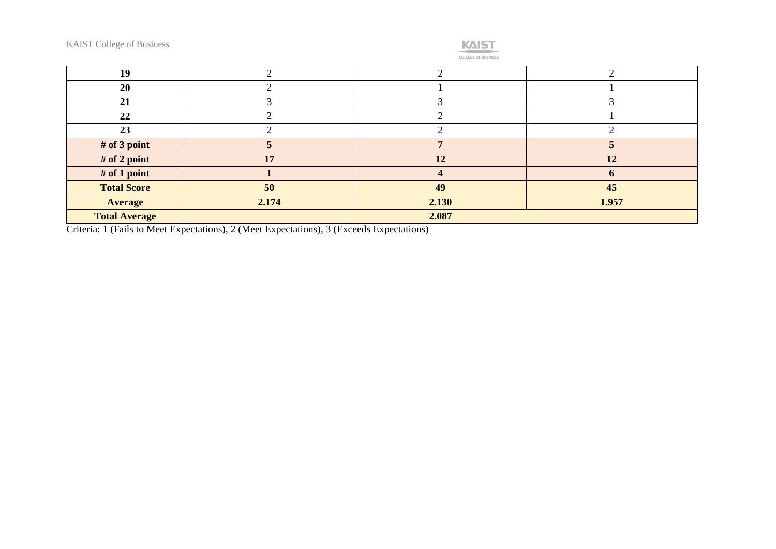| <b>KAIST College of Business</b> |  |
|----------------------------------|--|
|----------------------------------|--|

|  | _______ |  |
|--|---------|--|

**COLLEGE OF BUSINESS** 

| 19                   |       |       |       |
|----------------------|-------|-------|-------|
| 20                   |       |       |       |
| 21                   |       |       |       |
| 22                   |       |       |       |
| 23                   |       |       |       |
| # of 3 point         |       |       |       |
| # of 2 point         | 17    | 12    | 12    |
| # of 1 point         |       |       |       |
| <b>Total Score</b>   | 50    | 49    | 45    |
| <b>Average</b>       | 2.174 | 2.130 | 1.957 |
| <b>Total Average</b> |       | 2.087 |       |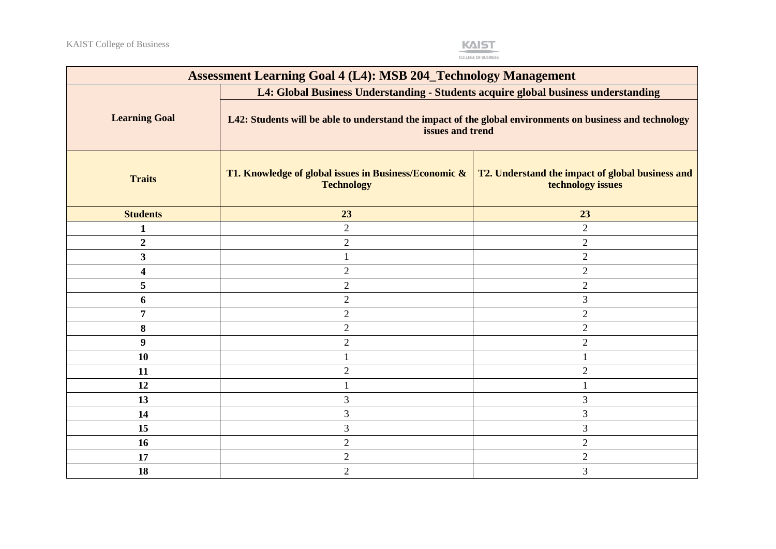

| <b>Assessment Learning Goal 4 (L4): MSB 204_Technology Management</b> |                                                                                                                               |                                                                       |  |
|-----------------------------------------------------------------------|-------------------------------------------------------------------------------------------------------------------------------|-----------------------------------------------------------------------|--|
|                                                                       | L4: Global Business Understanding - Students acquire global business understanding                                            |                                                                       |  |
| <b>Learning Goal</b>                                                  | L42: Students will be able to understand the impact of the global environments on business and technology<br>issues and trend |                                                                       |  |
| <b>Traits</b>                                                         | T1. Knowledge of global issues in Business/Economic &<br><b>Technology</b>                                                    | T2. Understand the impact of global business and<br>technology issues |  |
| <b>Students</b>                                                       | 23                                                                                                                            | 23                                                                    |  |
| $\mathbf{1}$                                                          | $\overline{2}$                                                                                                                | $\overline{2}$                                                        |  |
| $\boldsymbol{2}$                                                      | $\overline{2}$                                                                                                                | $\overline{2}$                                                        |  |
| 3                                                                     |                                                                                                                               | $\overline{2}$                                                        |  |
| $\overline{\mathbf{4}}$                                               | $\overline{2}$                                                                                                                | $\overline{2}$                                                        |  |
| 5                                                                     | $\sqrt{2}$                                                                                                                    | $\overline{2}$                                                        |  |
| 6                                                                     | $\overline{2}$                                                                                                                | $\overline{3}$                                                        |  |
| 7                                                                     | $\overline{2}$                                                                                                                | $\overline{2}$                                                        |  |
| 8                                                                     | $\overline{2}$                                                                                                                | $\overline{2}$                                                        |  |
| 9                                                                     | $\overline{2}$                                                                                                                | $\overline{2}$                                                        |  |
| 10                                                                    |                                                                                                                               |                                                                       |  |
| 11                                                                    | $\overline{2}$                                                                                                                | $\overline{2}$                                                        |  |
| 12                                                                    |                                                                                                                               |                                                                       |  |
| 13                                                                    | $\mathfrak{Z}$                                                                                                                | 3                                                                     |  |
| 14                                                                    | 3                                                                                                                             | 3                                                                     |  |
| 15                                                                    | 3                                                                                                                             | 3                                                                     |  |
| 16                                                                    | $\sqrt{2}$                                                                                                                    | $\overline{2}$                                                        |  |
| 17                                                                    | $\sqrt{2}$                                                                                                                    | $\overline{2}$                                                        |  |
| 18                                                                    | $\overline{2}$                                                                                                                | 3                                                                     |  |